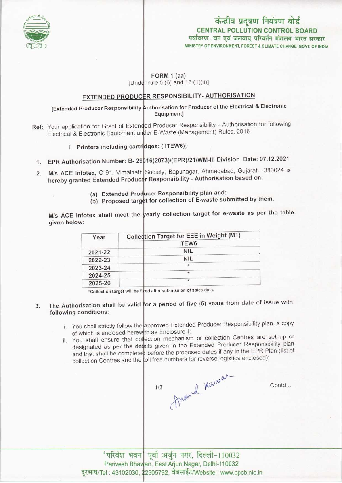

# MINISTRY OF ENVIRONMENT, FOREST S CLIMATE CHANGE GOVT. OF INDIA CENTRAL POLLUTION CONTROL BOARD<br>पर्यावरण. वन एवं जलवायु परिवर्तन मंत्रालय भारत सरकार केन्द्रीय प्रदूषण नियंत्रण बोर्ड

### FORM 1 (aa) [Under rule  $5(6)$  and  $13(1)(ii)$ ]

### <u>EXTENDED PRODUCER RESPONSIBILITY- AUTHORISATION</u>

#### [Extended Producer Responsibility Authorisation for Producer of the Electrical & Electronic Equipment]

- ed Producer Responsibility Authorisation for following Flectrical & Electronic Equipment under E-Waste (Management) Rules, 2016 Equipment]<br>Expediation Responsibility E-Waste (Management)<br>Iges: (ITEW6);<br>10/0073///ERR/134 04/M Ref: Your application for Grant of Exten
	- I. Printers including cartridges: (ITEW6);
- 1. EPR Authorisation Number: B- 29016(2073)/(EPR)/21/WM-III Division Date: 07.12.2021
- 2. M/s ACE Infotex, C 91, Vimalnath Society, Bapunagar, Ahmedabad, Gujarat 380024 is hereby granted Extended Producer Responsibility - Authorisation based on:
	- (a) Extended Producer Responsibility plan and;
	- (a) Extended Producer Responsivily planets submitted by them.

M/s ACE Infotex shall meet the vearly collection target for e-waste as per the table given below:

| Year    | Collection Target for EEE in Weight (MT) |
|---------|------------------------------------------|
|         | ITEW6                                    |
| 2021-22 | <b>NIL</b>                               |
| 2022-23 | <b>NIL</b>                               |
| 2023-24 | $\star$                                  |
| 2024-25 | $\star$                                  |
| 2025-26 | *                                        |

ed after submission of sales data. "Collection target will be

- 3. The Authorisation shall be valid for a period of five (5) years from date of issue with following conditions:
	- i. You shall strictly follow the approved Extended Producer Responsibility plan, a copy of which is enclosed herewith as Enclosure-I;
	- of which is enclosed herewith as Enclosure-1,<br>ii. You shall ensure that collection mechanism or collection Centres are set up or You shall ensure that collection mechanism of concerned Producer Responsibility planet designated as per the details given in the Extended Producer Responsibility plan designated as per the details given in the Extended Trouble of any in the EPR Plan (list of and that shall be completed before the proposed dates if any in the EPR Plan (list of and that shall be completed before the proposed dates in a significant collection Centres and the foll free numbers for reverse logistics enclosed)

Anound Knewar  $1/3$ 

Contd...

'परिवेश भवन| पूर्वी अर्जुन नगर, दिल्ली-110032 Parivesh Bhawan, East Arjun Nagar, Delhi-110032 arivesh Bhaw<mark>an, East Arjun Nagar, Delhi-110032</mark><br>: 43102030, 22305792, वेबसाईट/Website : www.cpcb.nic.in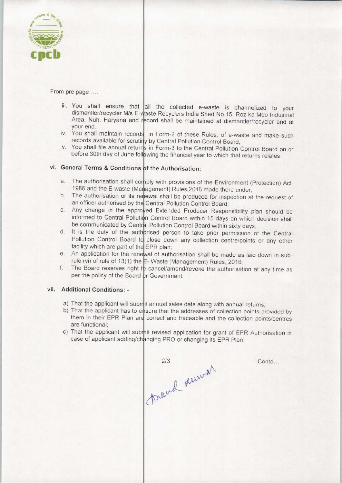

From pre page.....

- iii. You shall ensure that all the collected e-waste is channelized to your dismantler/recycler M/s E-waste Recyclers India Shed No.15, Roz ka Meo Industrial Area, Nuh, Haryana and record shall be maintained at dismantler/recycler and at your end.
- iv. You shall maintain records, in Form-2 of these Rules, of e-waste and make such records available for scrutiry by Central Pollution Control Board
- v. You shall file annual returns in Form-3 to the Central Pollution Control Board on or before 30th day of June following the financial year to which that returns relates.

## vi. General Terms & Conditions of the Authorisation:

- a. The authorisation shall corply with provisions of the Environment (Protection) Act 1986 and the E-waste (Management) Rules,2016 made there under the authorisation shall beningly with provisions of the Environment (Protection) Act,<br>1986 and the E-waste (Management) Rules, 2016 made there under;<br>b. The authorisation or its renewal shall be produced for inspection at
- an officer authorised by the Central Pollution Control Board an officer authorised by the Central Pollution Control Board;<br>c. Any change in the approved Extended Producer Responsibility plan should be
- informed to Central Pollution Control Board within 15 days on which decision shall
- be communicated by Central Pollution Control Board within sixty days;<br>d. It is the duty of the authorised person to take prior permission of It is the duty of the authbrised person to take prior permission of the Central Pollution Control Board to close down any collection centre/points or any other facility which are part of the EPR plan
- facility which are part of the EPR plan;<br>e. An application for the renewal of authorisation shall be made as laid down in subrule (vi) of rule of 13(1) the E-Waste (Management) Rules, 2016 Fig. This application for the renewar or authorisation shall be made as fald down in sub-<br>rule (vi) of rule of 13(1) the E-Waste (Management) Rules, 2016;<br>f. The Board reserves right to cancel/amend/revoke the authorisatio
- per the policy of the Board or Government

#### vii. Additional Conditions: -

- a) That the applicant will submit annual sales data along with annual returns
- b) That the applicant has to ensure that the addresses of collection points provided by them in their EPR Plan are correct and traceable and the collection points/centres are functional;
- c) That the applicant will submit revised application for grant of EPR Authorisation in case of applicant adding/changing PRO or changing its EPR Plan;

( travel knowar  $2/3$ 

Contd...